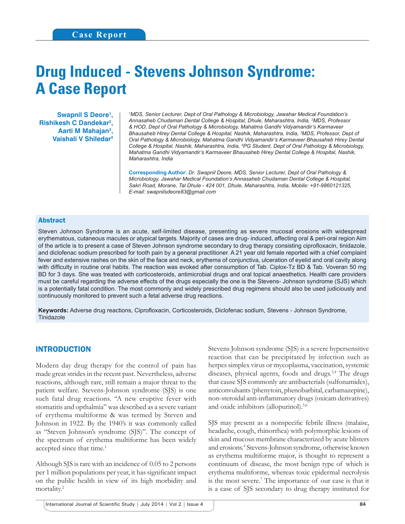# **Drug Induced - Stevens Johnson Syndrome: A Case Report**

Swapnil S Deore<sup>1</sup>, **Rishikesh C Dandekar2 , Aarti M Mahajan3 , Vaishali V Shiledar4**

*1 MDS, Senior Lecturer, Dept of Oral Pathology & Microbiology, Jawahar Medical Foundation's Annasaheb Chudaman Dental College & Hospital, Dhule, Maharashtra, India, 2 MDS, Professor & HOD, Dept of Oral Pathology & Microbiology, Mahatma Gandhi Vidyamandir's Karmaveer Bhausaheb Hirey Dental College & Hospital, Nashik, Maharashtra, India, 3 MDS, Professor, Dept of Oral Pathology & Microbiology, Mahatma Gandhi Vidyamandir's Karmaveer Bhausaheb Hirey Dental College & Hospital, Nashik, Maharashtra, India, 4 PG Student, Dept of Oral Pathology & Microbiology, Mahatma Gandhi Vidyamandir's Karmaveer Bhausaheb Hirey Dental College & Hospital, Nashik, Maharashtra, India*

**Corresponding Author:** *Dr. Swapnil Deore, MDS, Senior Lecturer, Dept of Oral Pathology & Microbiology, Jawahar Medical Foundation's Annasaheb Chudaman Dental College & Hospital, Sakri Road, Morane, Tal Dhule - 424 001, Dhule, Maharashtra, India, Mobile: +91-9860121325, E-mail: swapnilsdeore83@gmail.com*

#### Abstract

Steven Johnson Syndrome is an acute, self-limited disease, presenting as severe mucosal erosions with widespread erythematous, cutaneous macules or atypical targets. Majority of cases are drug- induced, affecting oral & peri-oral region Aim of the article is to present a case of Steven Johnson syndrome secondary to drug therapy consisting ciprofloxacin, tinidazole, and diclofenac sodium prescribed for tooth pain by a general practitioner. A 21 year old female reported with a chief complaint fever and extensive rashes on the skin of the face and neck, erythema of conjunctiva, ulceration of eyelid and oral cavity along with difficulty in routine oral habits. The reaction was evoked after consumption of Tab. Ciplox-Tz BD & Tab. Voveran 50 mg BD for 3 days. She was treated with corticosteroids, antimicrobial drugs and oral topical anaesthetics. Health care providers must be careful regarding the adverse effects of the drugs especially the one is the Stevens- Johnson syndrome (SJS) which is a potentially fatal condition. The most commonly and widely prescribed drug regimens should also be used judiciously and continuously monitored to prevent such a fetal adverse drug reactions.

Keywords: Adverse drug reactions, Ciprofloxacin, Corticosteroids, Diclofenac sodium, Stevens - Johnson Syndrome, Tinidazole

### INTRODUCTION

Modern day drug therapy for the control of pain has made great strides in the recent past. Nevertheless, adverse reactions, although rare, still remain a major threat to the patient welfare. Stevens-Johnson syndrome (SJS) is one such fatal drug reactions. "A new eruptive fever with stomatitis and opthalmia" was described as a severe variant of erythema multiforme & was termed by Steven and Johnson in 1922. By the 1940's it was commonly called as "Steven Johnson's syndrome (SJS)". The concept of the spectrum of erythema multiforme has been widely accepted since that time.<sup>1</sup>

Although SJS is rare with an incidence of 0.05 to 2 persons per 1 million populations per year, it has significant impact on the public health in view of its high morbidity and mortality.<sup>2</sup>

Stevens Johnson syndrome (SJS) is a severe hypersensitive reaction that can be precipitated by infection such as herpes simplex virus or mycoplasma, vaccination, systemic diseases, physical agents, foods and drugs.<sup>3,4</sup> The drugs that cause SJS commonly are antibacterials (sulfonamides), anticonvulsants (phenytoin, phenobarbital, carbamazepine), non-steroidal anti-inflammatory drugs (oxicam derivatives) and oxide inhibitors (allopurinol).5,6

SJS may present as a nonspecific febrile illness (malaise, headache, cough, rhinorrhea) with polymorphic lesions of skin and mucous membrane characterized by acute blisters and erosions.4 Stevens-Johnson syndrome, otherwise known as erythema multiforme major, is thought to represent a continuum of disease, the most benign type of which is erythema multiforme, whereas toxic epidermal necrolysis is the most severe.<sup>7</sup> The importance of our case is that it is a case of SJS secondary to drug therapy instituted for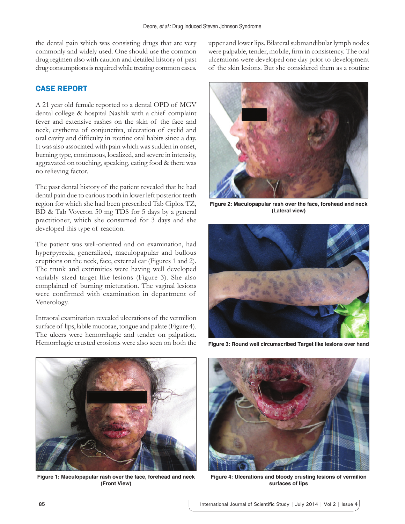the dental pain which was consisting drugs that are very commonly and widely used. One should use the common drug regimen also with caution and detailed history of past drug consumptions is required while treating common cases.

# CASE REPORT

A 21 year old female reported to a dental OPD of MGV dental college & hospital Nashik with a chief complaint fever and extensive rashes on the skin of the face and neck, erythema of conjunctiva, ulceration of eyelid and oral cavity and difficulty in routine oral habits since a day. It was also associated with pain which was sudden in onset, burning type, continuous, localized, and severe in intensity, aggravated on touching, speaking, eating food & there was no relieving factor.

The past dental history of the patient revealed that he had dental pain due to carious tooth in lower left posterior teeth region for which she had been prescribed Tab Ciplox TZ, BD & Tab Voveron 50 mg TDS for 5 days by a general practitioner, which she consumed for 3 days and she developed this type of reaction.

The patient was well-oriented and on examination, had hyperpyrexia, generalized, maculopapular and bullous eruptions on the neck, face, external ear (Figures 1 and 2). The trunk and extrimities were having well developed variably sized target like lesions (Figure 3). She also complained of burning micturation. The vaginal lesions were confirmed with examination in department of Venerology.

Intraoral examination revealed ulcerations of the vermilion surface of lips, labile mucosae, tongue and palate (Figure 4). The ulcers were hemorrhagic and tender on palpation. Hemorrhagic crusted erosions were also seen on both the upper and lower lips. Bilateral submandibular lymph nodes were palpable, tender, mobile, firm in consistency. The oral ulcerations were developed one day prior to development of the skin lesions. But she considered them as a routine



**Figure 2: Maculopapular rash over the face, forehead and neck (Lateral view)**



**Figure 3: Round well circumscribed Target like lesions over hand**



**Figure 1: Maculopapular rash over the face, forehead and neck (Front View)**



**Figure 4: Ulcerations and bloody crusting lesions of vermilion surfaces of lips**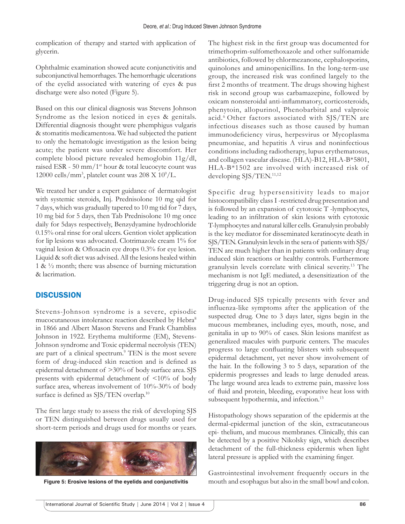complication of therapy and started with application of glycerin.

Ophthalmic examination showed acute conjunctivitis and subconjunctival hemorrhages. The hemorrhagic ulcerations of the eyelid associated with watering of eyes & pus discharge were also noted (Figure 5).

Based on this our clinical diagnosis was Stevens Johnson Syndrome as the lesion noticed in eyes & genitals. Differential diagnosis thought were phemphigus vulgaris & stomatitis medicamentosa. We had subjected the patient to only the hematologic investigation as the lesion being acute; the patient was under severe discomfort. Her complete blood picture revealed hemoglobin 11g/dl, raised ESR - 50 mm/1<sup>st</sup> hour & total leucocyte count was 12000 cells/mm<sup>3</sup>, platelet count was  $208 \text{ X } 10^9/\text{L}$ .

We treated her under a expert guidance of dermatologist with systemic steroids, Inj. Prednisolone 10 mg qid for 7 days, which was gradually tapered to 10 mg tid for 7 days, 10 mg bid for 5 days, then Tab Prednisolone 10 mg once daily for 5days respectively, Benzydyamine hydrochloride 0.15% oral rinse for oral ulcers. Gention violet application for lip lesions was advocated. Clotrimazole cream 1% for vaginal lesion  $&$  Ofloxacin eye drops 0.3% for eye lesion. Liquid & soft diet was advised. All the lesions healed within 1 & ½ month; there was absence of burning micturation & lacrimation.

# **DISCUSSION**

Stevens-Johnson syndrome is a severe, episodic mucocutaneous intolerance reaction described by Hebra<sup>8</sup> in 1866 and Albert Mason Stevens and Frank Chambliss Johnson in 1922. Erythema multiforme (EM), Stevens-Johnson syndrome and Toxic epidermal necrolysis (TEN) are part of a clinical spectrum.<sup>9</sup> TEN is the most severe form of drug-induced skin reaction and is defined as epidermal detachment of >30% of body surface area. SJS presents with epidermal detachment of <10% of body surface area, whereas involvement of 10%-30% of body surface is defined as SJS/TEN overlap.<sup>10</sup>

The first large study to assess the risk of developing SJS or TEN distinguished between drugs usually used for short-term periods and drugs used for months or years.



The highest risk in the first group was documented for trimethoprim-sulfomethoxazole and other sulfonamide antibiotics, followed by chlormezanone, cephalosporins, quinolones and aminopenicillins. In the long-term-use group, the increased risk was confined largely to the first 2 months of treatment. The drugs showing highest risk in second group was carbamazepine, followed by oxicam nonsteroidal anti-inflammatory, corticosteroids, phenytoin, allopurinol, Phenobarbital and valproic acid.6 Other factors associated with SJS/TEN are infectious diseases such as those caused by human immunodeficiency virus, herpesvirus or Mycoplasma pneumoniae, and hepatitis A virus and noninfectious conditions including radiotherapy, lupus erythematosus, and collagen vascular disease. (HLA)-B12, HLA-B\*5801, HLA-B\*1502 are involved with increased risk of developing SJS/TEN.<sup>11,12</sup>

Specific drug hypersensitivity leads to major histocompatibility class I -restricted drug presentation and is followed by an expansion of cytotoxic T -lymphocytes, leading to an infiltration of skin lesions with cytotoxic T-lymphocytes and natural killer cells. Granulysin probably is the key mediator for disseminated keratinocyte death in SJS/TEN. Granulysin levels in the sera of patients with SJS/ TEN are much higher than in patients with ordinary drug induced skin reactions or healthy controls. Furthermore granulysin levels correlate with clinical severity.13 The mechanism is not IgE mediated, a desensitization of the triggering drug is not an option.

Drug-induced SJS typically presents with fever and influenza-like symptoms after the application of the suspected drug. One to 3 days later, signs begin in the mucous membranes, including eyes, mouth, nose, and genitalia in up to 90% of cases. Skin lesions manifest as generalized macules with purpuric centers. The macules progress to large confluating blisters with subsequent epidermal detachment, yet never show involvement of the hair. In the following 3 to 5 days, separation of the epidermis progresses and leads to large denuded areas. The large wound area leads to extreme pain, massive loss of fluid and protein, bleeding, evaporative heat loss with subsequent hypothermia, and infection.<sup>13</sup>

Histopathology shows separation of the epidermis at the dermal-epidermal junction of the skin, extracutaneous epi- thelium, and mucous membranes. Clinically, this can be detected by a positive Nikolsky sign, which describes detachment of the full-thickness epidermis when light lateral pressure is applied with the examining finger.

Gastrointestinal involvement frequently occurs in the **Figure 5: Erosive lesions of the eyelids and conjunctivitis** mouth and esophagus but also in the small bowl and colon.